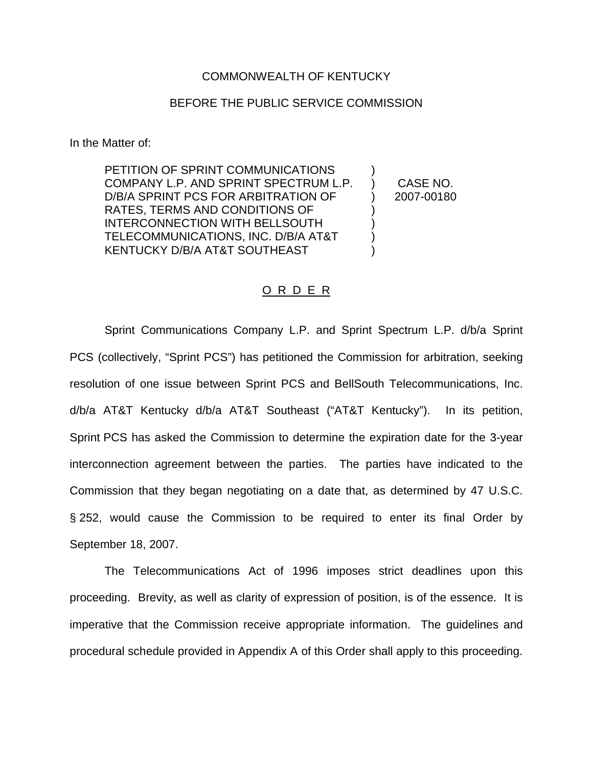### COMMONWEALTH OF KENTUCKY

### BEFORE THE PUBLIC SERVICE COMMISSION

In the Matter of:

PETITION OF SPRINT COMMUNICATIONS COMPANY L.P. AND SPRINT SPECTRUM L.P. D/B/A SPRINT PCS FOR ARBITRATION OF RATES, TERMS AND CONDITIONS OF INTERCONNECTION WITH BELLSOUTH TELECOMMUNICATIONS, INC. D/B/A AT&T KENTUCKY D/B/A AT&T SOUTHEAST ) ) CASE NO. ) 2007-00180 ) ) ) )

#### O R D E R

Sprint Communications Company L.P. and Sprint Spectrum L.P. d/b/a Sprint PCS (collectively, "Sprint PCS") has petitioned the Commission for arbitration, seeking resolution of one issue between Sprint PCS and BellSouth Telecommunications, Inc. d/b/a AT&T Kentucky d/b/a AT&T Southeast ("AT&T Kentucky"). In its petition, Sprint PCS has asked the Commission to determine the expiration date for the 3-year interconnection agreement between the parties. The parties have indicated to the Commission that they began negotiating on a date that, as determined by 47 U.S.C. § 252, would cause the Commission to be required to enter its final Order by September 18, 2007.

The Telecommunications Act of 1996 imposes strict deadlines upon this proceeding. Brevity, as well as clarity of expression of position, is of the essence. It is imperative that the Commission receive appropriate information. The guidelines and procedural schedule provided in Appendix A of this Order shall apply to this proceeding.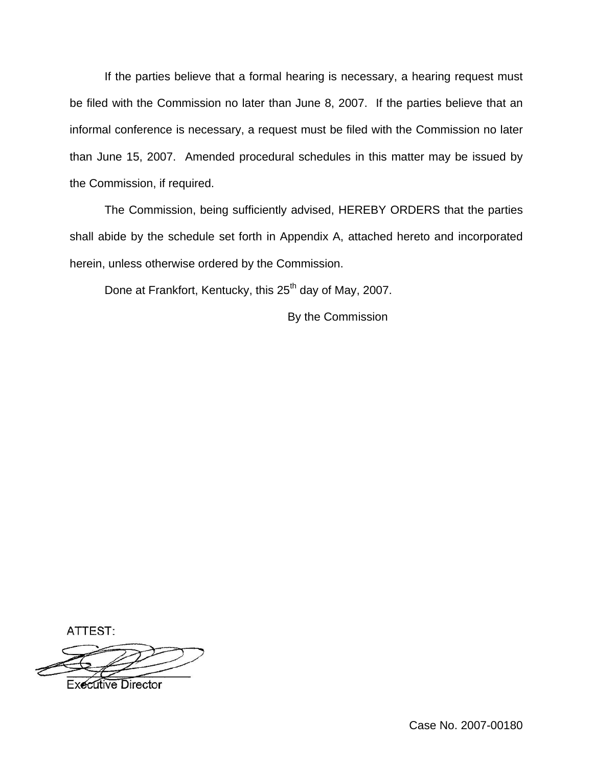If the parties believe that a formal hearing is necessary, a hearing request must be filed with the Commission no later than June 8, 2007. If the parties believe that an informal conference is necessary, a request must be filed with the Commission no later than June 15, 2007. Amended procedural schedules in this matter may be issued by the Commission, if required.

The Commission, being sufficiently advised, HEREBY ORDERS that the parties shall abide by the schedule set forth in Appendix A, attached hereto and incorporated herein, unless otherwise ordered by the Commission.

Done at Frankfort, Kentucky, this 25<sup>th</sup> day of May, 2007.

By the Commission

ATTEST:

**Executive Director**